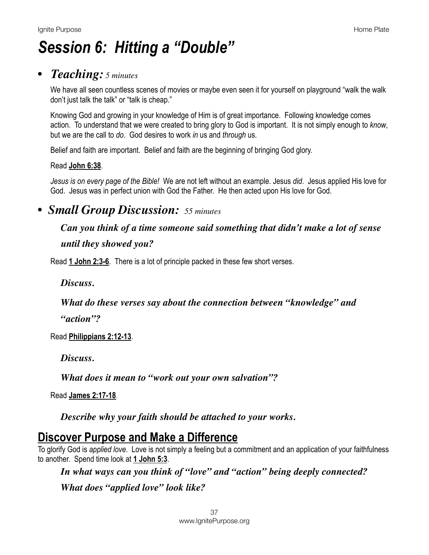# *Session 6: Hitting a "Double"*

### *• Teaching: 5 minutes*

We have all seen countless scenes of movies or maybe even seen it for yourself on playground "walk the walk don't just talk the talk" or "talk is cheap."

Knowing God and growing in your knowledge of Him is of great importance. Following knowledge comes action. To understand that we were created to bring glory to God is important. It is not simply enough to *know*, but we are the call to *do*. God desires to work *in* us and *through* us.

Belief and faith are important. Belief and faith are the beginning of bringing God glory.

#### Read **[John 6:38](https://www.biblegateway.com/passage/?search=John+6:38&version=NIV)**.

*Jesus is on every page of the Bible!* We are not left without an example. Jesus *did*. Jesus applied His love for God. Jesus was in perfect union with God the Father. He then acted upon His love for God.

### *• Small Group Discussion: 55 minutes*

#### *Can you think of a time someone said something that didn't make a lot of sense*

#### *until they showed you?*

Read **[1 John 2:3-6](https://www.biblegateway.com/passage/?search=1+John+2:3-6&version=NIV)**. There is a lot of principle packed in these few short verses.

*Discuss.*

#### *What do these verses say about the connection between "knowledge" and*

*"action"?*

Read **[Philippians 2:12-13](https://www.biblegateway.com/passage/?search=Philippians+2:12-13&version=NIV)**.

*Discuss.*

*What does it mean to "work out your own salvation"?*

Read **[James 2:17-18](https://www.biblegateway.com/passage/?search=James+2:17-18&version=NIV)**.

*Describe why your faith should be attached to your works.* 

### **Discover Purpose and Make a Difference**

To glorify God is *applied love*. Love is not simply a feeling but a commitment and an application of your faithfulness to another. Spend time look at **[1 John 5:3](https://www.biblegateway.com/passage/?search=1+John+5:3&version=NIV)**.

*In what ways can you think of "love" and "action" being deeply connected?* 

*What does "applied love" look like?*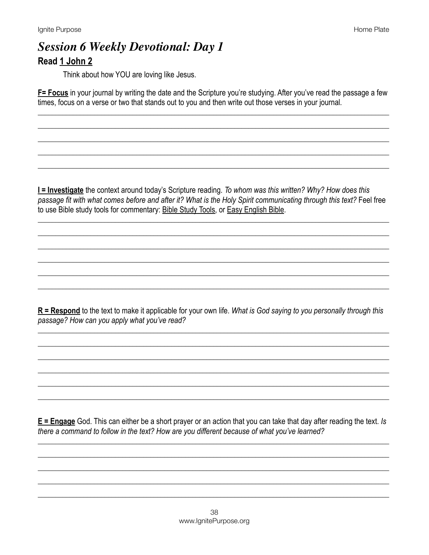### **Session 6 Weekly Devotional: Day 1** Read 1 John 2

Think about how YOU are loving like Jesus.

F= Focus in your journal by writing the date and the Scripture you're studying. After you've read the passage a few times, focus on a verse or two that stands out to you and then write out those verses in your journal.

I = Investigate the context around today's Scripture reading. To whom was this written? Why? How does this passage fit with what comes before and after it? What is the Holy Spirit communicating through this text? Feel free to use Bible study tools for commentary: Bible Study Tools, or Easy English Bible.

 $R$  = Respond to the text to make it applicable for your own life. What is God saying to you personally through this passage? How can you apply what you've read?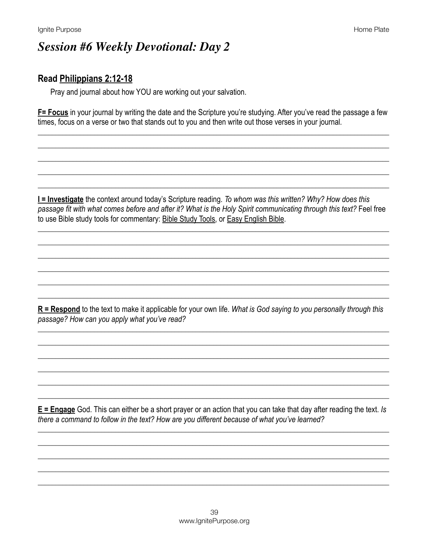### **Session #6 Weekly Devotional: Day 2**

### Read Philippians 2:12-18

Pray and journal about how YOU are working out your salvation.

F= Focus in your journal by writing the date and the Scripture you're studying. After you've read the passage a few times, focus on a verse or two that stands out to you and then write out those verses in your journal.

I = Investigate the context around today's Scripture reading. To whom was this written? Why? How does this passage fit with what comes before and after it? What is the Holy Spirit communicating through this text? Feel free to use Bible study tools for commentary: Bible Study Tools, or Easy English Bible.

 $R$  = Respond to the text to make it applicable for your own life. What is God saying to you personally through this passage? How can you apply what you've read?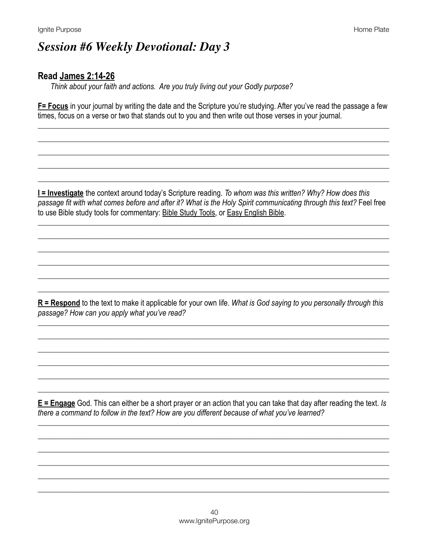### **Session #6 Weekly Devotional: Day 3**

### **Read James 2:14-26**

Think about your faith and actions. Are you truly living out your Godly purpose?

F= Focus in your journal by writing the date and the Scripture you're studying. After you've read the passage a few times, focus on a verse or two that stands out to you and then write out those verses in your journal.

**I = Investigate** the context around today's Scripture reading. To whom was this written? Why? How does this passage fit with what comes before and after it? What is the Holy Spirit communicating through this text? Feel free to use Bible study tools for commentary: Bible Study Tools, or Easy English Bible.

 $R$  = Respond to the text to make it applicable for your own life. What is God saying to you personally through this passage? How can you apply what you've read?